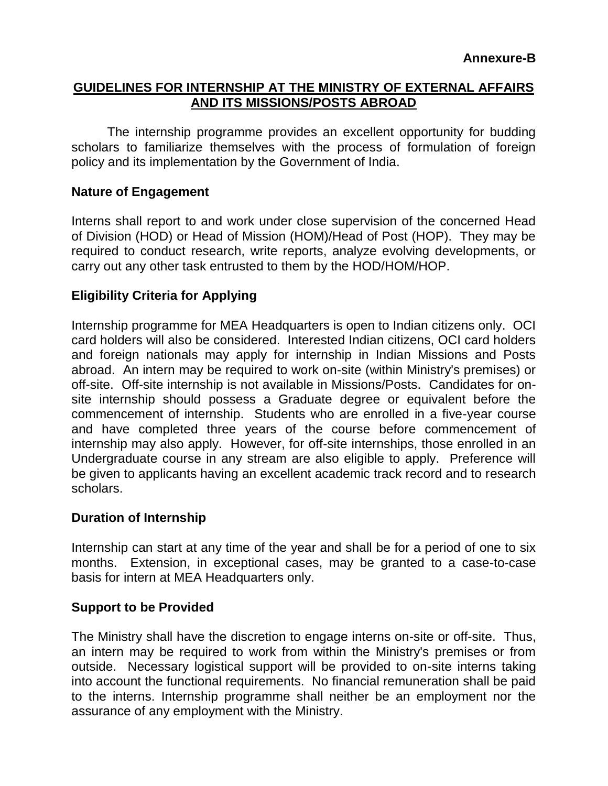## **GUIDELINES FOR INTERNSHIP AT THE MINISTRY OF EXTERNAL AFFAIRS AND ITS MISSIONS/POSTS ABROAD**

The internship programme provides an excellent opportunity for budding scholars to familiarize themselves with the process of formulation of foreign policy and its implementation by the Government of India.

# **Nature of Engagement**

Interns shall report to and work under close supervision of the concerned Head of Division (HOD) or Head of Mission (HOM)/Head of Post (HOP). They may be required to conduct research, write reports, analyze evolving developments, or carry out any other task entrusted to them by the HOD/HOM/HOP.

# **Eligibility Criteria for Applying**

Internship programme for MEA Headquarters is open to Indian citizens only. OCI card holders will also be considered. Interested Indian citizens, OCI card holders and foreign nationals may apply for internship in Indian Missions and Posts abroad. An intern may be required to work on-site (within Ministry's premises) or off-site. Off-site internship is not available in Missions/Posts. Candidates for onsite internship should possess a Graduate degree or equivalent before the commencement of internship. Students who are enrolled in a five-year course and have completed three years of the course before commencement of internship may also apply. However, for off-site internships, those enrolled in an Undergraduate course in any stream are also eligible to apply. Preference will be given to applicants having an excellent academic track record and to research scholars.

#### **Duration of Internship**

Internship can start at any time of the year and shall be for a period of one to six months. Extension, in exceptional cases, may be granted to a case-to-case basis for intern at MEA Headquarters only.

#### **Support to be Provided**

The Ministry shall have the discretion to engage interns on-site or off-site. Thus, an intern may be required to work from within the Ministry's premises or from outside. Necessary logistical support will be provided to on-site interns taking into account the functional requirements. No financial remuneration shall be paid to the interns. Internship programme shall neither be an employment nor the assurance of any employment with the Ministry.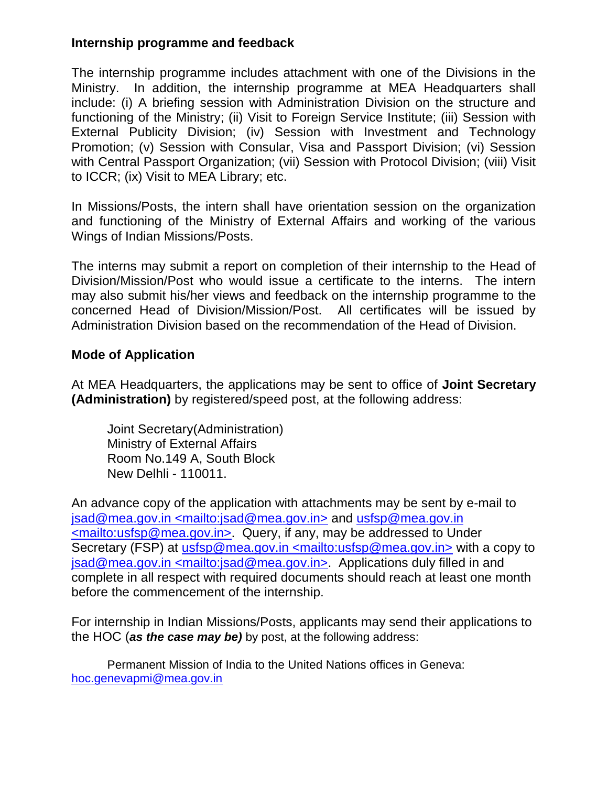# **Internship programme and feedback**

The internship programme includes attachment with one of the Divisions in the Ministry. In addition, the internship programme at MEA Headquarters shall include: (i) A briefing session with Administration Division on the structure and functioning of the Ministry; (ii) Visit to Foreign Service Institute; (iii) Session with External Publicity Division; (iv) Session with Investment and Technology Promotion; (v) Session with Consular, Visa and Passport Division; (vi) Session with Central Passport Organization; (vii) Session with Protocol Division; (viii) Visit to ICCR; (ix) Visit to MEA Library; etc.

In Missions/Posts, the intern shall have orientation session on the organization and functioning of the Ministry of External Affairs and working of the various Wings of Indian Missions/Posts.

The interns may submit a report on completion of their internship to the Head of Division/Mission/Post who would issue a certificate to the interns. The intern may also submit his/her views and feedback on the internship programme to the concerned Head of Division/Mission/Post. All certificates will be issued by Administration Division based on the recommendation of the Head of Division.

# **Mode of Application**

At MEA Headquarters, the applications may be sent to office of **Joint Secretary (Administration)** by registered/speed post, at the following address:

Joint Secretary(Administration) Ministry of External Affairs Room No.149 A, South Block New Delhli - 110011.

An advance copy of the application with attachments may be sent by e-mail to jsad@mea.gov.in <mailto:jsad@mea.gov.in> and usfsp@mea.gov.in <mailto:usfsp@mea.gov.in>. Query, if any, may be addressed to Under Secretary (FSP) at usfsp@mea.gov.in <mailto:usfsp@mea.gov.in> with a copy to jsad@mea.gov.in <mailto:jsad@mea.gov.in>. Applications duly filled in and complete in all respect with required documents should reach at least one month before the commencement of the internship.

For internship in Indian Missions/Posts, applicants may send their applications to the HOC (*as the case may be)* by post, at the following address:

Permanent Mission of India to the United Nations offices in Geneva: [hoc.genevapmi@mea.gov.in](mailto:hoc.genevapmi@mea.gov.in)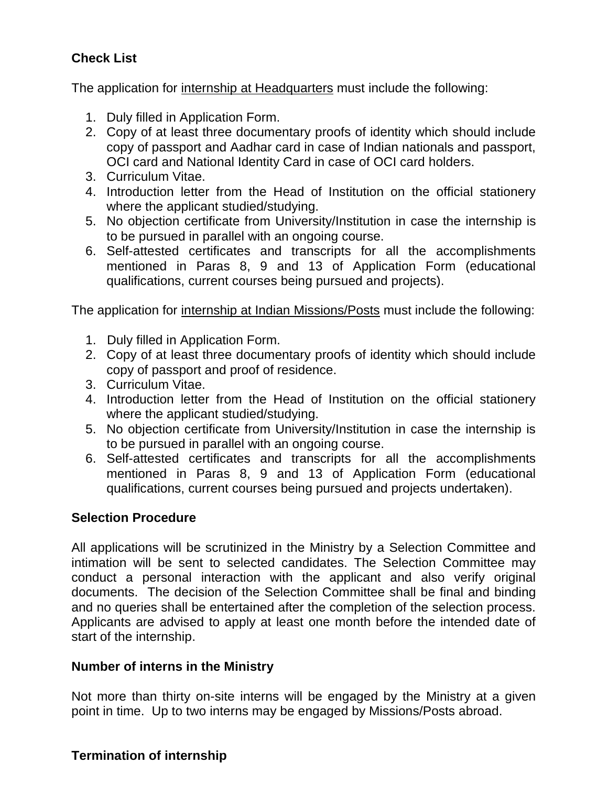# **Check List**

The application for internship at Headquarters must include the following:

- 1. Duly filled in Application Form.
- 2. Copy of at least three documentary proofs of identity which should include copy of passport and Aadhar card in case of Indian nationals and passport, OCI card and National Identity Card in case of OCI card holders.
- 3. Curriculum Vitae.
- 4. Introduction letter from the Head of Institution on the official stationery where the applicant studied/studying.
- 5. No objection certificate from University/Institution in case the internship is to be pursued in parallel with an ongoing course.
- 6. Self-attested certificates and transcripts for all the accomplishments mentioned in Paras 8, 9 and 13 of Application Form (educational qualifications, current courses being pursued and projects).

The application for internship at Indian Missions/Posts must include the following:

- 1. Duly filled in Application Form.
- 2. Copy of at least three documentary proofs of identity which should include copy of passport and proof of residence.
- 3. Curriculum Vitae.
- 4. Introduction letter from the Head of Institution on the official stationery where the applicant studied/studying.
- 5. No objection certificate from University/Institution in case the internship is to be pursued in parallel with an ongoing course.
- 6. Self-attested certificates and transcripts for all the accomplishments mentioned in Paras 8, 9 and 13 of Application Form (educational qualifications, current courses being pursued and projects undertaken).

#### **Selection Procedure**

All applications will be scrutinized in the Ministry by a Selection Committee and intimation will be sent to selected candidates. The Selection Committee may conduct a personal interaction with the applicant and also verify original documents. The decision of the Selection Committee shall be final and binding and no queries shall be entertained after the completion of the selection process. Applicants are advised to apply at least one month before the intended date of start of the internship.

#### **Number of interns in the Ministry**

Not more than thirty on-site interns will be engaged by the Ministry at a given point in time. Up to two interns may be engaged by Missions/Posts abroad.

#### **Termination of internship**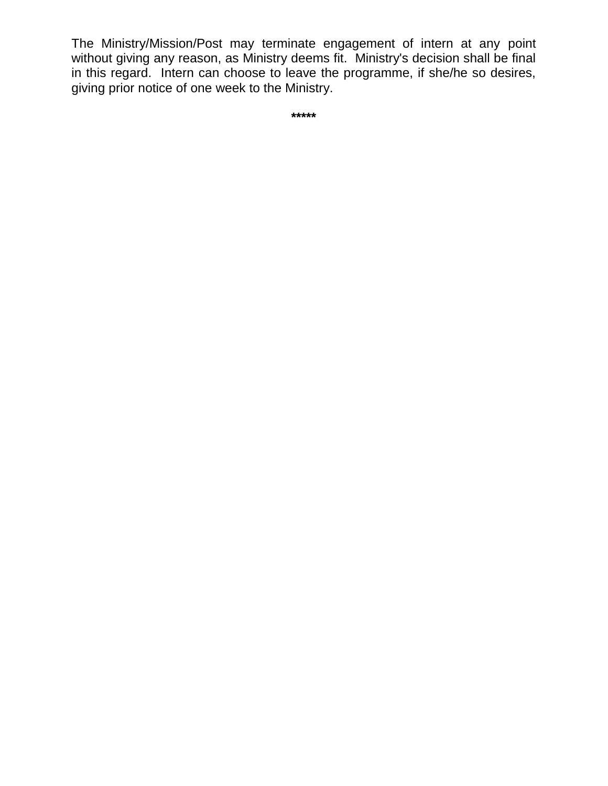The Ministry/Mission/Post may terminate engagement of intern at any point without giving any reason, as Ministry deems fit. Ministry's decision shall be final in this regard. Intern can choose to leave the programme, if she/he so desires, giving prior notice of one week to the Ministry.

**\*\*\*\*\***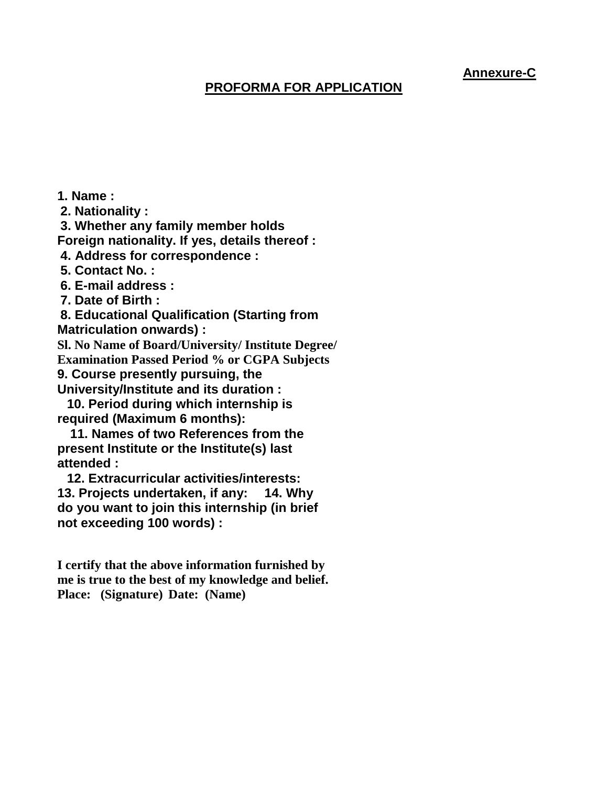# **Annexure-C**

# **PROFORMA FOR APPLICATION**

**1. Name : 2. Nationality : 3. Whether any family member holds Foreign nationality. If yes, details thereof : 4. Address for correspondence : 5. Contact No. : 6. E-mail address : 7. Date of Birth : 8. Educational Qualification (Starting from Matriculation onwards) : Sl. No Name of Board/University/ Institute Degree/ Examination Passed Period % or CGPA Subjects 9. Course presently pursuing, the University/Institute and its duration : 10. Period during which internship is required (Maximum 6 months): 11. Names of two References from the present Institute or the Institute(s) last attended : 12. Extracurricular activities/interests: 13. Projects undertaken, if any: 14. Why do you want to join this internship (in brief not exceeding 100 words) :** 

**I certify that the above information furnished by me is true to the best of my knowledge and belief. Place: (Signature) Date: (Name)**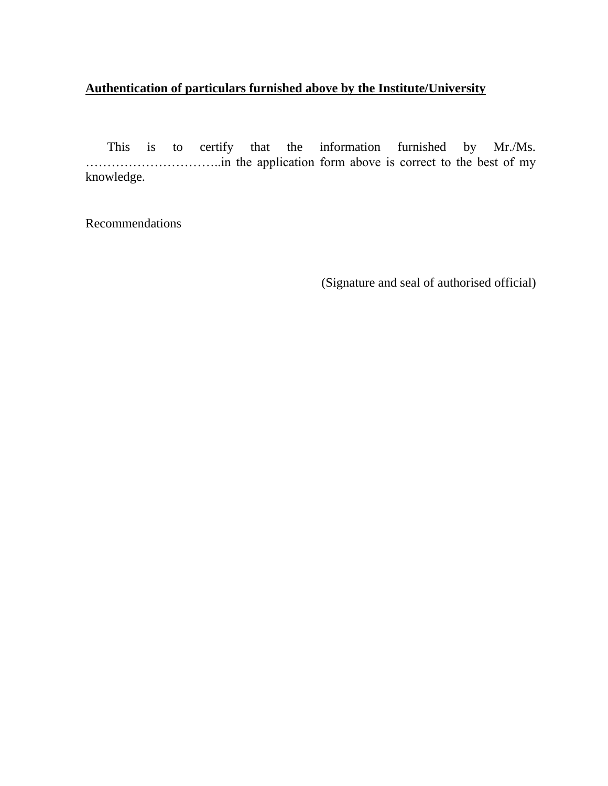#### **Authentication of particulars furnished above by the Institute/University**

This is to certify that the information furnished by Mr./Ms. …………………………..in the application form above is correct to the best of my knowledge.

Recommendations

(Signature and seal of authorised official)